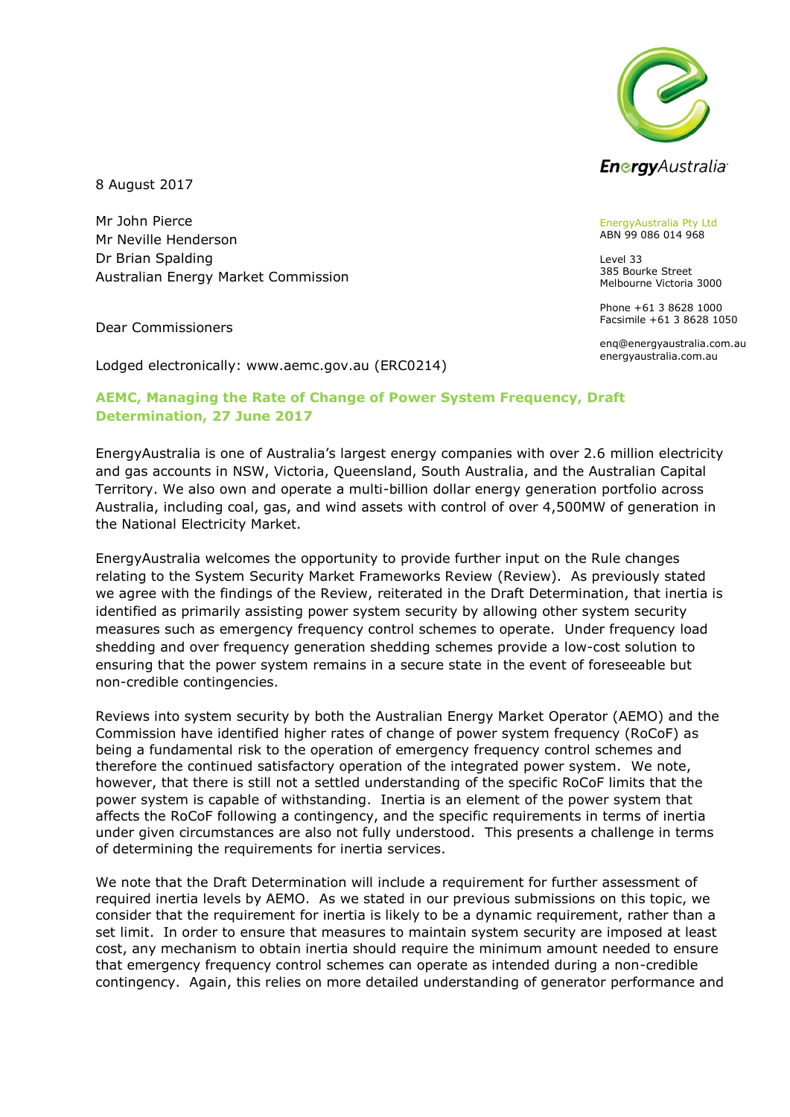

8 August 2017

Mr John Pierce Mr Neville Henderson Dr Brian Spalding Australian Energy Market Commission

Dear Commissioners

Lodged electronically: www.aemc.gov.au (ERC0214)

## **AEMC, Managing the Rate of Change of Power System Frequency, Draft Determination, 27 June 2017**

EnergyAustralia is one of Australia's largest energy companies with over 2.6 million electricity and gas accounts in NSW, Victoria, Queensland, South Australia, and the Australian Capital Territory. We also own and operate a multi-billion dollar energy generation portfolio across Australia, including coal, gas, and wind assets with control of over 4,500MW of generation in the National Electricity Market.

EnergyAustralia welcomes the opportunity to provide further input on the Rule changes relating to the System Security Market Frameworks Review (Review). As previously stated we agree with the findings of the Review, reiterated in the Draft Determination, that inertia is identified as primarily assisting power system security by allowing other system security measures such as emergency frequency control schemes to operate. Under frequency load shedding and over frequency generation shedding schemes provide a low-cost solution to ensuring that the power system remains in a secure state in the event of foreseeable but non-credible contingencies.

Reviews into system security by both the Australian Energy Market Operator (AEMO) and the Commission have identified higher rates of change of power system frequency (RoCoF) as being a fundamental risk to the operation of emergency frequency control schemes and therefore the continued satisfactory operation of the integrated power system. We note, however, that there is still not a settled understanding of the specific RoCoF limits that the power system is capable of withstanding. Inertia is an element of the power system that affects the RoCoF following a contingency, and the specific requirements in terms of inertia under given circumstances are also not fully understood. This presents a challenge in terms of determining the requirements for inertia services.

We note that the Draft Determination will include a requirement for further assessment of required inertia levels by AEMO. As we stated in our previous submissions on this topic, we consider that the requirement for inertia is likely to be a dynamic requirement, rather than a set limit. In order to ensure that measures to maintain system security are imposed at least cost, any mechanism to obtain inertia should require the minimum amount needed to ensure that emergency frequency control schemes can operate as intended during a non-credible contingency. Again, this relies on more detailed understanding of generator performance and

EnergyAustralia Pty Ltd ABN 99 086 014 968

Level 33 385 Bourke Street Melbourne Victoria 3000

Phone +61 3 8628 1000 Facsimile +61 3 8628 1050

enq@energyaustralia.com.au energyaustralia.com.au